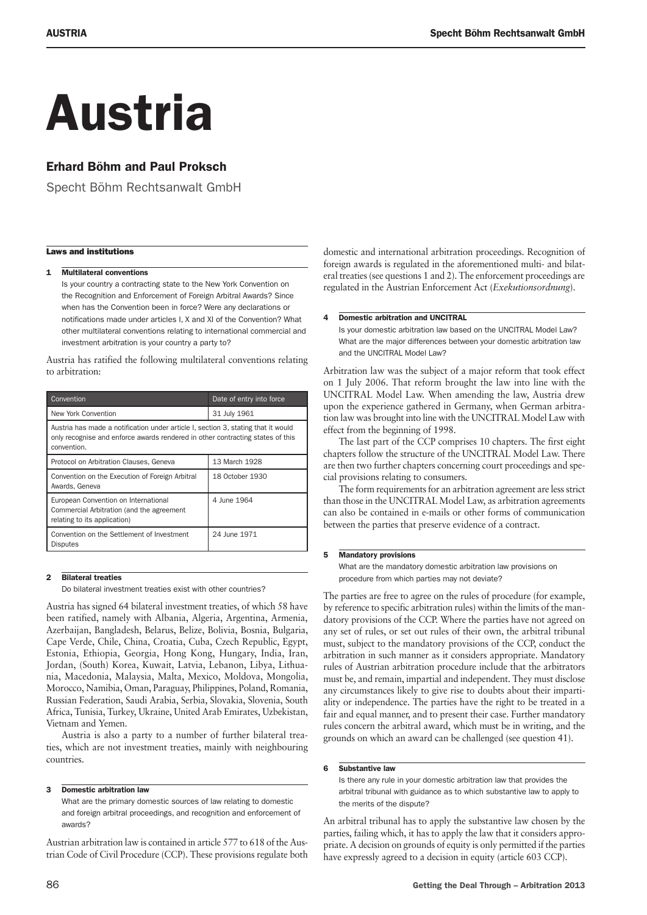# Austria

# Erhard Böhm and Paul Proksch

Specht Böhm Rechtsanwalt GmbH

# Laws and institutions

# 1 **Multilateral conventions**

Is your country a contracting state to the New York Convention on the Recognition and Enforcement of Foreign Arbitral Awards? Since when has the Convention been in force? Were any declarations or notifications made under articles I, X and XI of the Convention? What other multilateral conventions relating to international commercial and investment arbitration is your country a party to?

Austria has ratified the following multilateral conventions relating to arbitration:

| Convention                                                                                                                                                                         | Date of entry into force |
|------------------------------------------------------------------------------------------------------------------------------------------------------------------------------------|--------------------------|
| New York Convention                                                                                                                                                                | 31 July 1961             |
| Austria has made a notification under article I, section 3, stating that it would<br>only recognise and enforce awards rendered in other contracting states of this<br>convention. |                          |
| Protocol on Arbitration Clauses, Geneva                                                                                                                                            | 13 March 1928            |
| Convention on the Execution of Foreign Arbitral<br>Awards, Geneva                                                                                                                  | 18 October 1930          |
| European Convention on International<br>Commercial Arbitration (and the agreement<br>relating to its application)                                                                  | 4 June 1964              |
| Convention on the Settlement of Investment<br><b>Disputes</b>                                                                                                                      | 24 June 1971             |

# 2 Bilateral treaties

Do bilateral investment treaties exist with other countries?

Austria has signed 64 bilateral investment treaties, of which 58 have been ratified, namely with Albania, Algeria, Argentina, Armenia, Azerbaijan, Bangladesh, Belarus, Belize, Bolivia, Bosnia, Bulgaria, Cape Verde, Chile, China, Croatia, Cuba, Czech Republic, Egypt, Estonia, Ethiopia, Georgia, Hong Kong, Hungary, India, Iran, Jordan, (South) Korea, Kuwait, Latvia, Lebanon, Libya, Lithuania, Macedonia, Malaysia, Malta, Mexico, Moldova, Mongolia, Morocco, Namibia, Oman, Paraguay, Philippines, Poland, Romania, Russian Federation, Saudi Arabia, Serbia, Slovakia, Slovenia, South Africa, Tunisia, Turkey, Ukraine, United Arab Emirates, Uzbekistan, Vietnam and Yemen.

Austria is also a party to a number of further bilateral treaties, which are not investment treaties, mainly with neighbouring countries.

# 3 Domestic arbitration law

What are the primary domestic sources of law relating to domestic and foreign arbitral proceedings, and recognition and enforcement of awards?

Austrian arbitration law is contained in article 577 to 618 of the Austrian Code of Civil Procedure (CCP). These provisions regulate both domestic and international arbitration proceedings. Recognition of foreign awards is regulated in the aforementioned multi- and bilateral treaties (see questions 1 and 2). The enforcement proceedings are regulated in the Austrian Enforcement Act (*Exekutionsordnung*).

# 4 Domestic arbitration and UNCITRAL

Is your domestic arbitration law based on the UNCITRAL Model Law? What are the major differences between your domestic arbitration law and the UNCITRAL Model Law?

Arbitration law was the subject of a major reform that took effect on 1 July 2006. That reform brought the law into line with the UNCITRAL Model Law. When amending the law, Austria drew upon the experience gathered in Germany, when German arbitration law was brought into line with the UNCITRAL Model Law with effect from the beginning of 1998.

The last part of the CCP comprises 10 chapters. The first eight chapters follow the structure of the UNCITRAL Model Law. There are then two further chapters concerning court proceedings and special provisions relating to consumers.

The form requirements for an arbitration agreement are less strict than those in the UNCITRAL Model Law, as arbitration agreements can also be contained in e-mails or other forms of communication between the parties that preserve evidence of a contract.

# **5** Mandatory provisions

What are the mandatory domestic arbitration law provisions on procedure from which parties may not deviate?

The parties are free to agree on the rules of procedure (for example, by reference to specific arbitration rules) within the limits of the mandatory provisions of the CCP. Where the parties have not agreed on any set of rules, or set out rules of their own, the arbitral tribunal must, subject to the mandatory provisions of the CCP, conduct the arbitration in such manner as it considers appropriate. Mandatory rules of Austrian arbitration procedure include that the arbitrators must be, and remain, impartial and independent. They must disclose any circumstances likely to give rise to doubts about their impartiality or independence. The parties have the right to be treated in a fair and equal manner, and to present their case. Further mandatory rules concern the arbitral award, which must be in writing, and the grounds on which an award can be challenged (see question 41).

# 6 Substantive law

Is there any rule in your domestic arbitration law that provides the arbitral tribunal with guidance as to which substantive law to apply to the merits of the dispute?

An arbitral tribunal has to apply the substantive law chosen by the parties, failing which, it has to apply the law that it considers appropriate. A decision on grounds of equity is only permitted if the parties have expressly agreed to a decision in equity (article 603 CCP).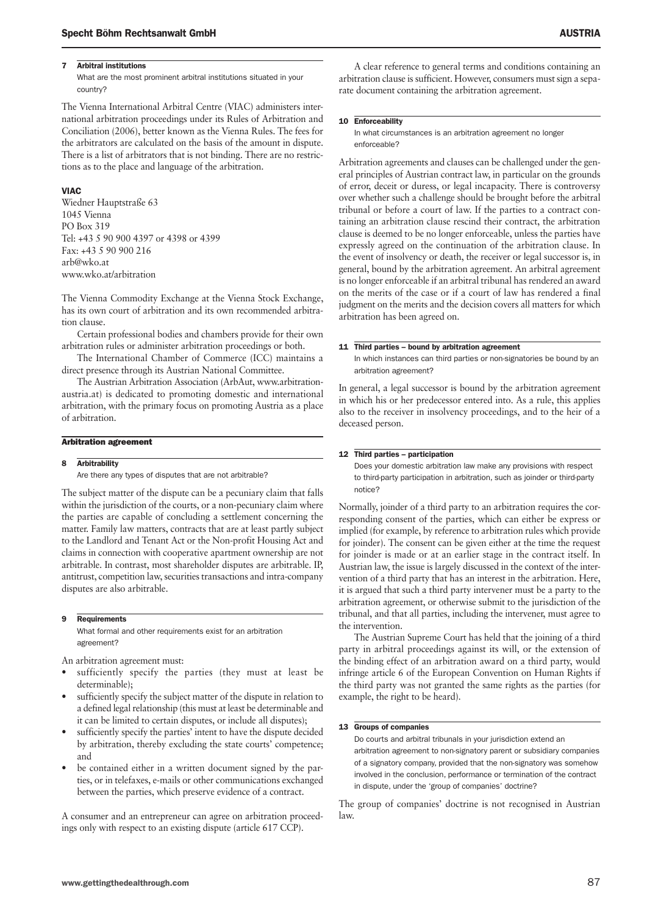# 7 Arbitral institutions

What are the most prominent arbitral institutions situated in your country?

The Vienna International Arbitral Centre (VIAC) administers international arbitration proceedings under its Rules of Arbitration and Conciliation (2006), better known as the Vienna Rules. The fees for the arbitrators are calculated on the basis of the amount in dispute. There is a list of arbitrators that is not binding. There are no restrictions as to the place and language of the arbitration.

# VIAC

Wiedner Hauptstraße 63 1045 Vienna PO Box 319 Tel: +43 5 90 900 4397 or 4398 or 4399 Fax: +43 5 90 900 216 arb@wko.at www.wko.at/arbitration

The Vienna Commodity Exchange at the Vienna Stock Exchange, has its own court of arbitration and its own recommended arbitration clause.

Certain professional bodies and chambers provide for their own arbitration rules or administer arbitration proceedings or both.

The International Chamber of Commerce (ICC) maintains a direct presence through its Austrian National Committee.

The Austrian Arbitration Association (ArbAut, www.arbitrationaustria.at) is dedicated to promoting domestic and international arbitration, with the primary focus on promoting Austria as a place of arbitration.

#### Arbitration agreement

#### 8 Arbitrability

Are there any types of disputes that are not arbitrable?

The subject matter of the dispute can be a pecuniary claim that falls within the jurisdiction of the courts, or a non-pecuniary claim where the parties are capable of concluding a settlement concerning the matter. Family law matters, contracts that are at least partly subject to the Landlord and Tenant Act or the Non-profit Housing Act and claims in connection with cooperative apartment ownership are not arbitrable. In contrast, most shareholder disputes are arbitrable. IP, antitrust, competition law, securities transactions and intra-company disputes are also arbitrable.

#### 9 Requirements

What formal and other requirements exist for an arbitration agreement?

An arbitration agreement must:

- sufficiently specify the parties (they must at least be determinable);
- sufficiently specify the subject matter of the dispute in relation to a defined legal relationship (this must at least be determinable and it can be limited to certain disputes, or include all disputes);
- sufficiently specify the parties' intent to have the dispute decided by arbitration, thereby excluding the state courts' competence; and
- be contained either in a written document signed by the parties, or in telefaxes, e-mails or other communications exchanged between the parties, which preserve evidence of a contract.

A consumer and an entrepreneur can agree on arbitration proceedings only with respect to an existing dispute (article 617 CCP).

A clear reference to general terms and conditions containing an arbitration clause is sufficient. However, consumers must sign a separate document containing the arbitration agreement.

# 10 Enforceability

In what circumstances is an arbitration agreement no longer enforceable?

Arbitration agreements and clauses can be challenged under the general principles of Austrian contract law, in particular on the grounds of error, deceit or duress, or legal incapacity. There is controversy over whether such a challenge should be brought before the arbitral tribunal or before a court of law. If the parties to a contract containing an arbitration clause rescind their contract, the arbitration clause is deemed to be no longer enforceable, unless the parties have expressly agreed on the continuation of the arbitration clause. In the event of insolvency or death, the receiver or legal successor is, in general, bound by the arbitration agreement. An arbitral agreement is no longer enforceable if an arbitral tribunal has rendered an award on the merits of the case or if a court of law has rendered a final judgment on the merits and the decision covers all matters for which arbitration has been agreed on.

#### 11 Third parties - bound by arbitration agreement

In which instances can third parties or non-signatories be bound by an arbitration agreement?

In general, a legal successor is bound by the arbitration agreement in which his or her predecessor entered into. As a rule, this applies also to the receiver in insolvency proceedings, and to the heir of a deceased person.

# 12 Third parties – participation

Does your domestic arbitration law make any provisions with respect to third-party participation in arbitration, such as joinder or third-party notice?

Normally, joinder of a third party to an arbitration requires the corresponding consent of the parties, which can either be express or implied (for example, by reference to arbitration rules which provide for joinder). The consent can be given either at the time the request for joinder is made or at an earlier stage in the contract itself. In Austrian law, the issue is largely discussed in the context of the intervention of a third party that has an interest in the arbitration. Here, it is argued that such a third party intervener must be a party to the arbitration agreement, or otherwise submit to the jurisdiction of the tribunal, and that all parties, including the intervener, must agree to the intervention.

The Austrian Supreme Court has held that the joining of a third party in arbitral proceedings against its will, or the extension of the binding effect of an arbitration award on a third party, would infringe article 6 of the European Convention on Human Rights if the third party was not granted the same rights as the parties (for example, the right to be heard).

# 13 Groups of companies

Do courts and arbitral tribunals in your jurisdiction extend an arbitration agreement to non-signatory parent or subsidiary companies of a signatory company, provided that the non-signatory was somehow involved in the conclusion, performance or termination of the contract in dispute, under the 'group of companies' doctrine?

The group of companies' doctrine is not recognised in Austrian law.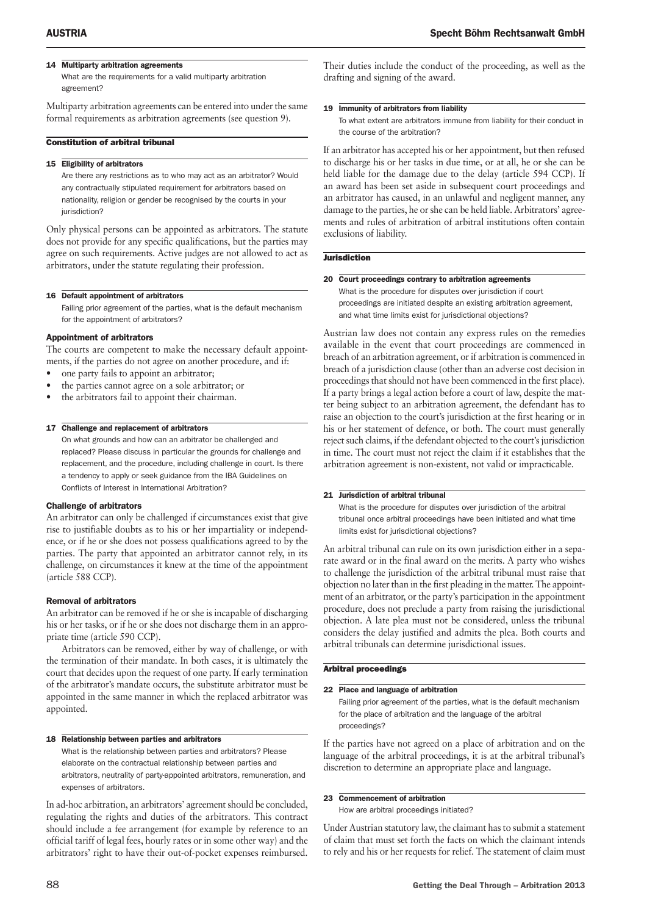# 14 Multiparty arbitration agreements

What are the requirements for a valid multiparty arbitration agreement?

Multiparty arbitration agreements can be entered into under the same formal requirements as arbitration agreements (see question 9).

# Constitution of arbitral tribunal

# 15 Eligibility of arbitrators

Are there any restrictions as to who may act as an arbitrator? Would any contractually stipulated requirement for arbitrators based on nationality, religion or gender be recognised by the courts in your jurisdiction?

Only physical persons can be appointed as arbitrators. The statute does not provide for any specific qualifications, but the parties may agree on such requirements. Active judges are not allowed to act as arbitrators, under the statute regulating their profession.

#### 16 Default appointment of arbitrators

Failing prior agreement of the parties, what is the default mechanism for the appointment of arbitrators?

#### Appointment of arbitrators

The courts are competent to make the necessary default appointments, if the parties do not agree on another procedure, and if:

- one party fails to appoint an arbitrator;
- the parties cannot agree on a sole arbitrator; or
- the arbitrators fail to appoint their chairman.

# 17 Challenge and replacement of arbitrators

On what grounds and how can an arbitrator be challenged and replaced? Please discuss in particular the grounds for challenge and replacement, and the procedure, including challenge in court. Is there a tendency to apply or seek guidance from the IBA Guidelines on Conflicts of Interest in International Arbitration?

#### Challenge of arbitrators

An arbitrator can only be challenged if circumstances exist that give rise to justifiable doubts as to his or her impartiality or independence, or if he or she does not possess qualifications agreed to by the parties. The party that appointed an arbitrator cannot rely, in its challenge, on circumstances it knew at the time of the appointment (article 588 CCP).

# Removal of arbitrators

An arbitrator can be removed if he or she is incapable of discharging his or her tasks, or if he or she does not discharge them in an appropriate time (article 590 CCP).

Arbitrators can be removed, either by way of challenge, or with the termination of their mandate. In both cases, it is ultimately the court that decides upon the request of one party. If early termination of the arbitrator's mandate occurs, the substitute arbitrator must be appointed in the same manner in which the replaced arbitrator was appointed.

#### 18 Relationship between parties and arbitrators

What is the relationship between parties and arbitrators? Please elaborate on the contractual relationship between parties and arbitrators, neutrality of party-appointed arbitrators, remuneration, and expenses of arbitrators.

In ad-hoc arbitration, an arbitrators' agreement should be concluded, regulating the rights and duties of the arbitrators. This contract should include a fee arrangement (for example by reference to an official tariff of legal fees, hourly rates or in some other way) and the arbitrators' right to have their out-of-pocket expenses reimbursed.

Their duties include the conduct of the proceeding, as well as the drafting and signing of the award.

#### 19 Immunity of arbitrators from liability

To what extent are arbitrators immune from liability for their conduct in the course of the arbitration?

If an arbitrator has accepted his or her appointment, but then refused to discharge his or her tasks in due time, or at all, he or she can be held liable for the damage due to the delay (article 594 CCP). If an award has been set aside in subsequent court proceedings and an arbitrator has caused, in an unlawful and negligent manner, any damage to the parties, he or she can be held liable. Arbitrators' agreements and rules of arbitration of arbitral institutions often contain exclusions of liability.

# **Jurisdiction**

#### 20 Court proceedings contrary to arbitration agreements

What is the procedure for disputes over jurisdiction if court proceedings are initiated despite an existing arbitration agreement, and what time limits exist for jurisdictional objections?

Austrian law does not contain any express rules on the remedies available in the event that court proceedings are commenced in breach of an arbitration agreement, or if arbitration is commenced in breach of a jurisdiction clause (other than an adverse cost decision in proceedings that should not have been commenced in the first place). If a party brings a legal action before a court of law, despite the matter being subject to an arbitration agreement, the defendant has to raise an objection to the court's jurisdiction at the first hearing or in his or her statement of defence, or both. The court must generally reject such claims, if the defendant objected to the court's jurisdiction in time. The court must not reject the claim if it establishes that the arbitration agreement is non-existent, not valid or impracticable.

# 21 Jurisdiction of arbitral tribunal

What is the procedure for disputes over jurisdiction of the arbitral tribunal once arbitral proceedings have been initiated and what time limits exist for jurisdictional objections?

An arbitral tribunal can rule on its own jurisdiction either in a separate award or in the final award on the merits. A party who wishes to challenge the jurisdiction of the arbitral tribunal must raise that objection no later than in the first pleading in the matter. The appointment of an arbitrator, or the party's participation in the appointment procedure, does not preclude a party from raising the jurisdictional objection. A late plea must not be considered, unless the tribunal considers the delay justified and admits the plea. Both courts and arbitral tribunals can determine jurisdictional issues.

#### Arbitral proceedings

# 22 Place and language of arbitration

Failing prior agreement of the parties, what is the default mechanism for the place of arbitration and the language of the arbitral proceedings?

If the parties have not agreed on a place of arbitration and on the language of the arbitral proceedings, it is at the arbitral tribunal's discretion to determine an appropriate place and language.

#### 23 Commencement of arbitration

How are arbitral proceedings initiated?

Under Austrian statutory law, the claimant has to submit a statement of claim that must set forth the facts on which the claimant intends to rely and his or her requests for relief. The statement of claim must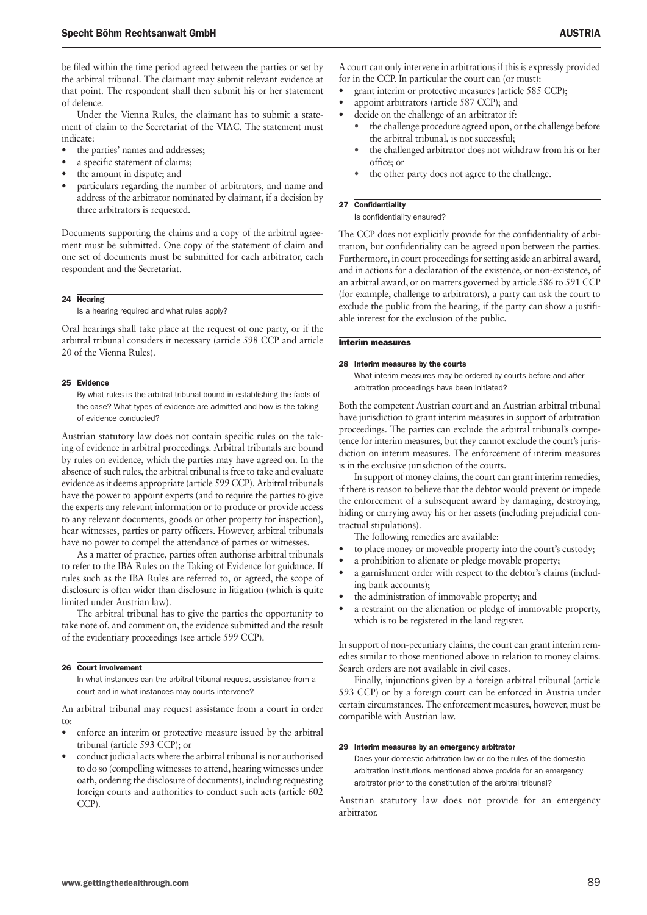be filed within the time period agreed between the parties or set by the arbitral tribunal. The claimant may submit relevant evidence at that point. The respondent shall then submit his or her statement of defence.

Under the Vienna Rules, the claimant has to submit a statement of claim to the Secretariat of the VIAC. The statement must indicate:

- the parties' names and addresses;
- a specific statement of claims;
- the amount in dispute; and
- particulars regarding the number of arbitrators, and name and address of the arbitrator nominated by claimant, if a decision by three arbitrators is requested.

Documents supporting the claims and a copy of the arbitral agreement must be submitted. One copy of the statement of claim and one set of documents must be submitted for each arbitrator, each respondent and the Secretariat.

#### 24 Hearing

Is a hearing required and what rules apply?

Oral hearings shall take place at the request of one party, or if the arbitral tribunal considers it necessary (article 598 CCP and article 20 of the Vienna Rules).

# 25 Evidence

By what rules is the arbitral tribunal bound in establishing the facts of the case? What types of evidence are admitted and how is the taking of evidence conducted?

Austrian statutory law does not contain specific rules on the taking of evidence in arbitral proceedings. Arbitral tribunals are bound by rules on evidence, which the parties may have agreed on. In the absence of such rules, the arbitral tribunal is free to take and evaluate evidence as it deems appropriate (article 599 CCP). Arbitral tribunals have the power to appoint experts (and to require the parties to give the experts any relevant information or to produce or provide access to any relevant documents, goods or other property for inspection), hear witnesses, parties or party officers. However, arbitral tribunals have no power to compel the attendance of parties or witnesses.

As a matter of practice, parties often authorise arbitral tribunals to refer to the IBA Rules on the Taking of Evidence for guidance. If rules such as the IBA Rules are referred to, or agreed, the scope of disclosure is often wider than disclosure in litigation (which is quite limited under Austrian law).

The arbitral tribunal has to give the parties the opportunity to take note of, and comment on, the evidence submitted and the result of the evidentiary proceedings (see article 599 CCP).

#### 26 Court involvement

In what instances can the arbitral tribunal request assistance from a court and in what instances may courts intervene?

An arbitral tribunal may request assistance from a court in order to:

- enforce an interim or protective measure issued by the arbitral tribunal (article 593 CCP); or
- conduct judicial acts where the arbitral tribunal is not authorised to do so (compelling witnesses to attend, hearing witnesses under oath, ordering the disclosure of documents), including requesting foreign courts and authorities to conduct such acts (article 602 CCP).

A court can only intervene in arbitrations if this is expressly provided for in the CCP. In particular the court can (or must):

- grant interim or protective measures (article 585 CCP);
- appoint arbitrators (article 587 CCP); and
- decide on the challenge of an arbitrator if:
	- the challenge procedure agreed upon, or the challenge before the arbitral tribunal, is not successful;
	- the challenged arbitrator does not withdraw from his or her office; or
	- the other party does not agree to the challenge.

# 27 Confidentiality

Is confidentiality ensured?

The CCP does not explicitly provide for the confidentiality of arbitration, but confidentiality can be agreed upon between the parties. Furthermore, in court proceedings for setting aside an arbitral award, and in actions for a declaration of the existence, or non-existence, of an arbitral award, or on matters governed by article 586 to 591 CCP (for example, challenge to arbitrators), a party can ask the court to exclude the public from the hearing, if the party can show a justifiable interest for the exclusion of the public.

# Interim measures

# 28 Interim measures by the courts

What interim measures may be ordered by courts before and after arbitration proceedings have been initiated?

Both the competent Austrian court and an Austrian arbitral tribunal have jurisdiction to grant interim measures in support of arbitration proceedings. The parties can exclude the arbitral tribunal's competence for interim measures, but they cannot exclude the court's jurisdiction on interim measures. The enforcement of interim measures is in the exclusive jurisdiction of the courts.

In support of money claims, the court can grant interim remedies, if there is reason to believe that the debtor would prevent or impede the enforcement of a subsequent award by damaging, destroying, hiding or carrying away his or her assets (including prejudicial contractual stipulations).

The following remedies are available:

- to place money or moveable property into the court's custody;
- a prohibition to alienate or pledge movable property;
- a garnishment order with respect to the debtor's claims (including bank accounts);
- the administration of immovable property; and
- a restraint on the alienation or pledge of immovable property, which is to be registered in the land register.

In support of non-pecuniary claims, the court can grant interim remedies similar to those mentioned above in relation to money claims. Search orders are not available in civil cases.

Finally, injunctions given by a foreign arbitral tribunal (article 593 CCP) or by a foreign court can be enforced in Austria under certain circumstances. The enforcement measures, however, must be compatible with Austrian law.

#### 29 Interim measures by an emergency arbitrator

Does your domestic arbitration law or do the rules of the domestic arbitration institutions mentioned above provide for an emergency arbitrator prior to the constitution of the arbitral tribunal?

Austrian statutory law does not provide for an emergency arbitrator.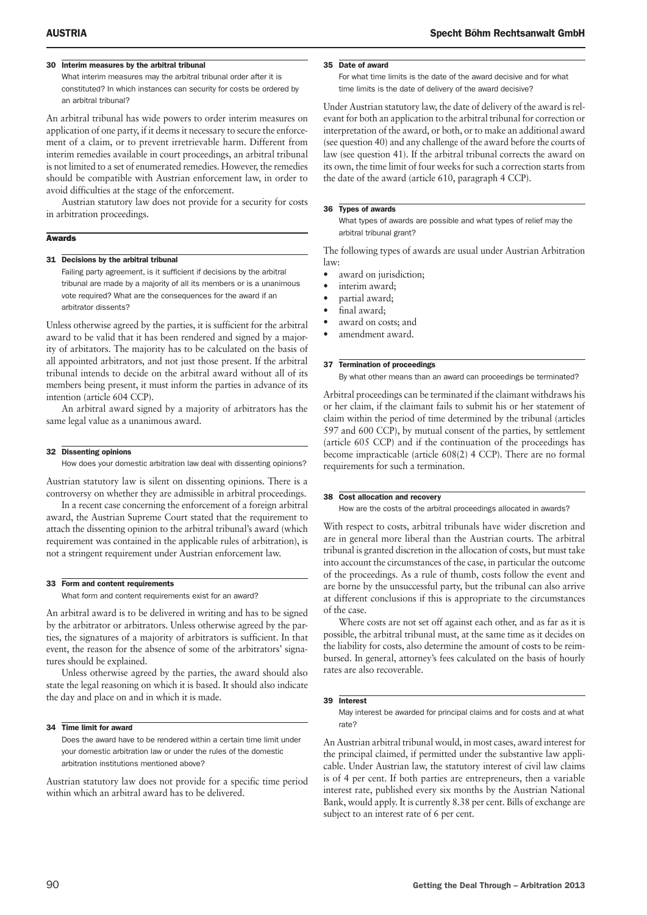# 30 Interim measures by the arbitral tribunal

What interim measures may the arbitral tribunal order after it is constituted? In which instances can security for costs be ordered by an arbitral tribunal?

An arbitral tribunal has wide powers to order interim measures on application of one party, if it deems it necessary to secure the enforcement of a claim, or to prevent irretrievable harm. Different from interim remedies available in court proceedings, an arbitral tribunal is not limited to a set of enumerated remedies. However, the remedies should be compatible with Austrian enforcement law, in order to avoid difficulties at the stage of the enforcement.

Austrian statutory law does not provide for a security for costs in arbitration proceedings.

# Awards

#### 31 Decisions by the arbitral tribunal

Failing party agreement, is it sufficient if decisions by the arbitral tribunal are made by a majority of all its members or is a unanimous vote required? What are the consequences for the award if an arbitrator dissents?

Unless otherwise agreed by the parties, it is sufficient for the arbitral award to be valid that it has been rendered and signed by a majority of arbitators. The majority has to be calculated on the basis of all appointed arbitrators, and not just those present. If the arbitral tribunal intends to decide on the arbitral award without all of its members being present, it must inform the parties in advance of its intention (article 604 CCP).

An arbitral award signed by a majority of arbitrators has the same legal value as a unanimous award.

#### 32 Dissenting opinions

How does your domestic arbitration law deal with dissenting opinions?

Austrian statutory law is silent on dissenting opinions. There is a controversy on whether they are admissible in arbitral proceedings.

In a recent case concerning the enforcement of a foreign arbitral award, the Austrian Supreme Court stated that the requirement to attach the dissenting opinion to the arbitral tribunal's award (which requirement was contained in the applicable rules of arbitration), is not a stringent requirement under Austrian enforcement law.

# 33 Form and content requirements

What form and content requirements exist for an award?

An arbitral award is to be delivered in writing and has to be signed by the arbitrator or arbitrators. Unless otherwise agreed by the parties, the signatures of a majority of arbitrators is sufficient. In that event, the reason for the absence of some of the arbitrators' signatures should be explained.

Unless otherwise agreed by the parties, the award should also state the legal reasoning on which it is based. It should also indicate the day and place on and in which it is made.

#### 34 Time limit for award

Does the award have to be rendered within a certain time limit under your domestic arbitration law or under the rules of the domestic arbitration institutions mentioned above?

Austrian statutory law does not provide for a specific time period within which an arbitral award has to be delivered.

# For what time limits is the date of the award decisive and for what time limits is the date of delivery of the award decisive?

Under Austrian statutory law, the date of delivery of the award is relevant for both an application to the arbitral tribunal for correction or interpretation of the award, or both, or to make an additional award (see question 40) and any challenge of the award before the courts of law (see question 41). If the arbitral tribunal corrects the award on its own, the time limit of four weeks for such a correction starts from the date of the award (article 610, paragraph 4 CCP).

#### 36 Types of awards

35 Date of award

What types of awards are possible and what types of relief may the arbitral tribunal grant?

The following types of awards are usual under Austrian Arbitration law:

- award on jurisdiction;
- interim award;
- partial award;
- final award;
- award on costs; and
- amendment award.

#### 37 Termination of proceedings

By what other means than an award can proceedings be terminated?

Arbitral proceedings can be terminated if the claimant withdraws his or her claim, if the claimant fails to submit his or her statement of claim within the period of time determined by the tribunal (articles 597 and 600 CCP), by mutual consent of the parties, by settlement (article 605 CCP) and if the continuation of the proceedings has become impracticable (article 608(2) 4 CCP). There are no formal requirements for such a termination.

# 38 Cost allocation and recovery

How are the costs of the arbitral proceedings allocated in awards?

With respect to costs, arbitral tribunals have wider discretion and are in general more liberal than the Austrian courts. The arbitral tribunal is granted discretion in the allocation of costs, but must take into account the circumstances of the case, in particular the outcome of the proceedings. As a rule of thumb, costs follow the event and are borne by the unsuccessful party, but the tribunal can also arrive at different conclusions if this is appropriate to the circumstances of the case.

Where costs are not set off against each other, and as far as it is possible, the arbitral tribunal must, at the same time as it decides on the liability for costs, also determine the amount of costs to be reimbursed. In general, attorney's fees calculated on the basis of hourly rates are also recoverable.

# 39 Interest

May interest be awarded for principal claims and for costs and at what rate?

An Austrian arbitral tribunal would, in most cases, award interest for the principal claimed, if permitted under the substantive law applicable. Under Austrian law, the statutory interest of civil law claims is of 4 per cent. If both parties are entrepreneurs, then a variable interest rate, published every six months by the Austrian National Bank, would apply. It is currently 8.38 per cent. Bills of exchange are subject to an interest rate of 6 per cent.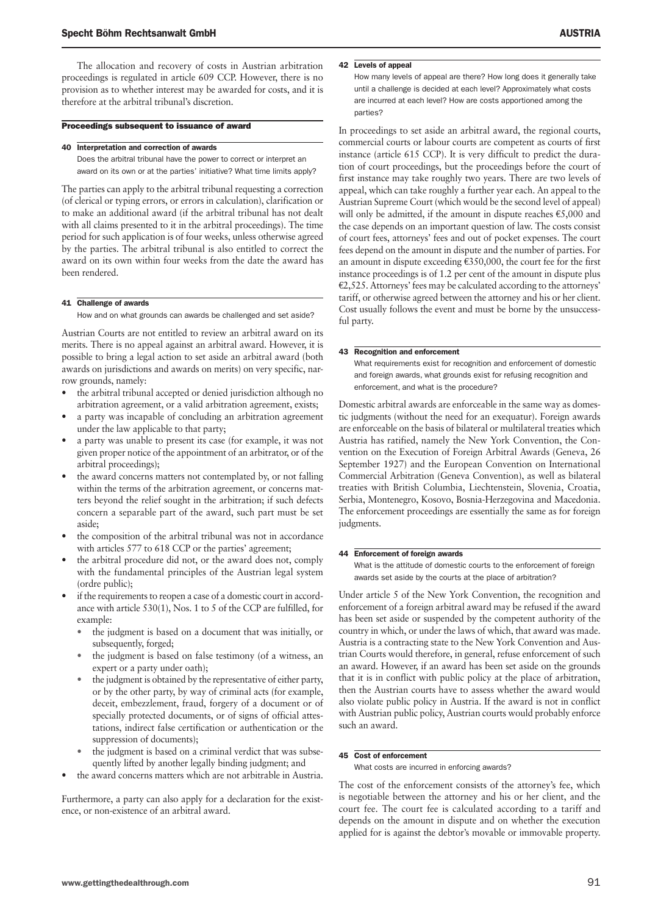The allocation and recovery of costs in Austrian arbitration proceedings is regulated in article 609 CCP. However, there is no provision as to whether interest may be awarded for costs, and it is therefore at the arbitral tribunal's discretion.

# Proceedings subsequent to issuance of award

#### 40 Interpretation and correction of awards

Does the arbitral tribunal have the power to correct or interpret an award on its own or at the parties' initiative? What time limits apply?

The parties can apply to the arbitral tribunal requesting a correction (of clerical or typing errors, or errors in calculation), clarification or to make an additional award (if the arbitral tribunal has not dealt with all claims presented to it in the arbitral proceedings). The time period for such application is of four weeks, unless otherwise agreed by the parties. The arbitral tribunal is also entitled to correct the award on its own within four weeks from the date the award has been rendered.

# 41 Challenge of awards

How and on what grounds can awards be challenged and set aside?

Austrian Courts are not entitled to review an arbitral award on its merits. There is no appeal against an arbitral award. However, it is possible to bring a legal action to set aside an arbitral award (both awards on jurisdictions and awards on merits) on very specific, narrow grounds, namely:

- the arbitral tribunal accepted or denied jurisdiction although no arbitration agreement, or a valid arbitration agreement, exists;
- a party was incapable of concluding an arbitration agreement under the law applicable to that party;
- a party was unable to present its case (for example, it was not given proper notice of the appointment of an arbitrator, or of the arbitral proceedings);
- the award concerns matters not contemplated by, or not falling within the terms of the arbitration agreement, or concerns matters beyond the relief sought in the arbitration; if such defects concern a separable part of the award, such part must be set aside;
- the composition of the arbitral tribunal was not in accordance with articles 577 to 618 CCP or the parties' agreement;
- the arbitral procedure did not, or the award does not, comply with the fundamental principles of the Austrian legal system (ordre public);
- if the requirements to reopen a case of a domestic court in accordance with article 530(1), Nos. 1 to 5 of the CCP are fulfilled, for example:
	- the judgment is based on a document that was initially, or subsequently, forged;
	- the judgment is based on false testimony (of a witness, an expert or a party under oath);
	- the judgment is obtained by the representative of either party, or by the other party, by way of criminal acts (for example, deceit, embezzlement, fraud, forgery of a document or of specially protected documents, or of signs of official attestations, indirect false certification or authentication or the suppression of documents);
	- the judgment is based on a criminal verdict that was subsequently lifted by another legally binding judgment; and
- the award concerns matters which are not arbitrable in Austria.

Furthermore, a party can also apply for a declaration for the existence, or non-existence of an arbitral award.

# 42 Levels of appeal

How many levels of appeal are there? How long does it generally take until a challenge is decided at each level? Approximately what costs are incurred at each level? How are costs apportioned among the parties?

In proceedings to set aside an arbitral award, the regional courts, commercial courts or labour courts are competent as courts of first instance (article 615 CCP). It is very difficult to predict the duration of court proceedings, but the proceedings before the court of first instance may take roughly two years. There are two levels of appeal, which can take roughly a further year each. An appeal to the Austrian Supreme Court (which would be the second level of appeal) will only be admitted, if the amount in dispute reaches  $\epsilon$ 5,000 and the case depends on an important question of law. The costs consist of court fees, attorneys' fees and out of pocket expenses. The court fees depend on the amount in dispute and the number of parties. For an amount in dispute exceeding  $£350,000$ , the court fee for the first instance proceedings is of 1.2 per cent of the amount in dispute plus  $E2,525$ . Attorneys' fees may be calculated according to the attorneys' tariff, or otherwise agreed between the attorney and his or her client. Cost usually follows the event and must be borne by the unsuccessful party.

# 43 Recognition and enforcement

What requirements exist for recognition and enforcement of domestic and foreign awards, what grounds exist for refusing recognition and enforcement, and what is the procedure?

Domestic arbitral awards are enforceable in the same way as domestic judgments (without the need for an exequatur). Foreign awards are enforceable on the basis of bilateral or multilateral treaties which Austria has ratified, namely the New York Convention, the Convention on the Execution of Foreign Arbitral Awards (Geneva, 26 September 1927) and the European Convention on International Commercial Arbitration (Geneva Convention), as well as bilateral treaties with British Columbia, Liechtenstein, Slovenia, Croatia, Serbia, Montenegro, Kosovo, Bosnia-Herzegovina and Macedonia. The enforcement proceedings are essentially the same as for foreign judgments.

#### 44 Enforcement of foreign awards

What is the attitude of domestic courts to the enforcement of foreign awards set aside by the courts at the place of arbitration?

Under article 5 of the New York Convention, the recognition and enforcement of a foreign arbitral award may be refused if the award has been set aside or suspended by the competent authority of the country in which, or under the laws of which, that award was made. Austria is a contracting state to the New York Convention and Austrian Courts would therefore, in general, refuse enforcement of such an award. However, if an award has been set aside on the grounds that it is in conflict with public policy at the place of arbitration, then the Austrian courts have to assess whether the award would also violate public policy in Austria. If the award is not in conflict with Austrian public policy, Austrian courts would probably enforce such an award.

# 45 Cost of enforcement

What costs are incurred in enforcing awards?

The cost of the enforcement consists of the attorney's fee, which is negotiable between the attorney and his or her client, and the court fee. The court fee is calculated according to a tariff and depends on the amount in dispute and on whether the execution applied for is against the debtor's movable or immovable property.